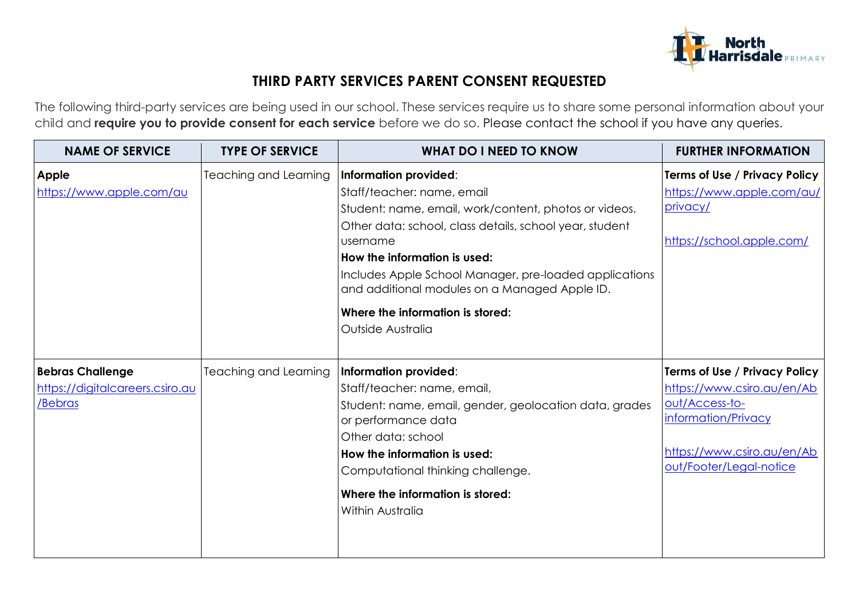

## **THIRD PARTY SERVICES PARENT CONSENT REQUESTED**

The following third-party services are being used in our school. These services require us to share some personal information about your child and **require you to provide consent for each service** before we do so. Please contact the school if you have any queries.

| <b>NAME OF SERVICE</b>                                                | <b>TYPE OF SERVICE</b>       | <b>WHAT DO I NEED TO KNOW</b>                                                                                                                                                                                                                                                                                                                                                           | <b>FURTHER INFORMATION</b>                                                                                                                                    |
|-----------------------------------------------------------------------|------------------------------|-----------------------------------------------------------------------------------------------------------------------------------------------------------------------------------------------------------------------------------------------------------------------------------------------------------------------------------------------------------------------------------------|---------------------------------------------------------------------------------------------------------------------------------------------------------------|
| Apple<br>https://www.apple.com/au                                     | <b>Teaching and Learning</b> | Information provided:<br>Staff/teacher: name, email<br>Student: name, email, work/content, photos or videos.<br>Other data: school, class details, school year, student<br>username<br>How the information is used:<br>Includes Apple School Manager, pre-loaded applications<br>and additional modules on a Managed Apple ID.<br>Where the information is stored:<br>Outside Australia | Terms of Use / Privacy Policy<br>https://www.apple.com/au/<br>privacy/<br>https://school.apple.com/                                                           |
| <b>Bebras Challenge</b><br>https://digitalcareers.csiro.au<br>/Bebras | Teaching and Learning        | Information provided:<br>Staff/teacher: name, email,<br>Student: name, email, gender, geolocation data, grades<br>or performance data<br>Other data: school<br>How the information is used:<br>Computational thinking challenge.<br>Where the information is stored:<br>Within Australia                                                                                                | Terms of Use / Privacy Policy<br>https://www.csiro.au/en/Ab<br>out/Access-to-<br>information/Privacy<br>https://www.csiro.au/en/Ab<br>out/Footer/Legal-notice |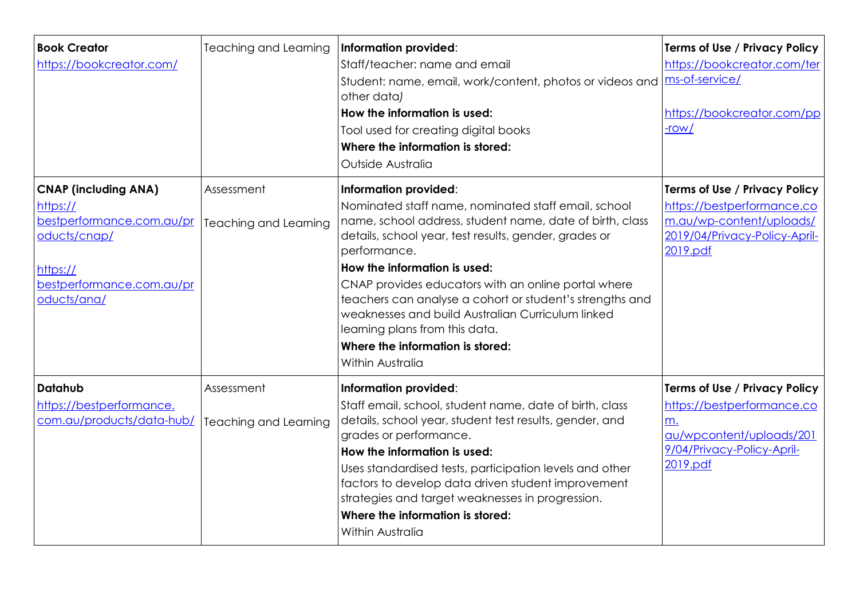| <b>Book Creator</b><br>https://bookcreator.com/                                                                                              | <b>Teaching and Learning</b>               | Information provided:<br>Staff/teacher: name and email<br>Student: name, email, work/content, photos or videos and<br>other data)<br>How the information is used:<br>Tool used for creating digital books<br>Where the information is stored:<br>Outside Australia                                                                                                                                                                                                                                                  | Terms of Use / Privacy Policy<br>https://bookcreator.com/ter<br>ms-of-service/<br>https://bookcreator.com/pp<br>$-row/$                     |
|----------------------------------------------------------------------------------------------------------------------------------------------|--------------------------------------------|---------------------------------------------------------------------------------------------------------------------------------------------------------------------------------------------------------------------------------------------------------------------------------------------------------------------------------------------------------------------------------------------------------------------------------------------------------------------------------------------------------------------|---------------------------------------------------------------------------------------------------------------------------------------------|
| <b>CNAP (including ANA)</b><br>https://<br>bestperformance.com.au/pr<br>oducts/cnap/<br>https://<br>bestperformance.com.au/pr<br>oducts/ana/ | Assessment<br><b>Teaching and Learning</b> | Information provided:<br>Nominated staff name, nominated staff email, school<br>name, school address, student name, date of birth, class<br>details, school year, test results, gender, grades or<br>performance.<br>How the information is used:<br>CNAP provides educators with an online portal where<br>teachers can analyse a cohort or student's strengths and<br>weaknesses and build Australian Curriculum linked<br>learning plans from this data.<br>Where the information is stored:<br>Within Australia | <b>Terms of Use / Privacy Policy</b><br>https://bestperformance.co<br>m.au/wp-content/uploads/<br>2019/04/Privacy-Policy-April-<br>2019.pdf |
| Datahub<br>https://bestperformance.<br>com.au/products/data-hub/                                                                             | Assessment<br><b>Teaching and Learning</b> | Information provided:<br>Staff email, school, student name, date of birth, class<br>details, school year, student test results, gender, and<br>grades or performance.<br>How the information is used:<br>Uses standardised tests, participation levels and other<br>factors to develop data driven student improvement<br>strategies and target weaknesses in progression.<br>Where the information is stored:<br>Within Australia                                                                                  | Terms of Use / Privacy Policy<br>https://bestperformance.co<br>m.<br>au/wpcontent/uploads/201<br>9/04/Privacy-Policy-April-<br>2019.pdf     |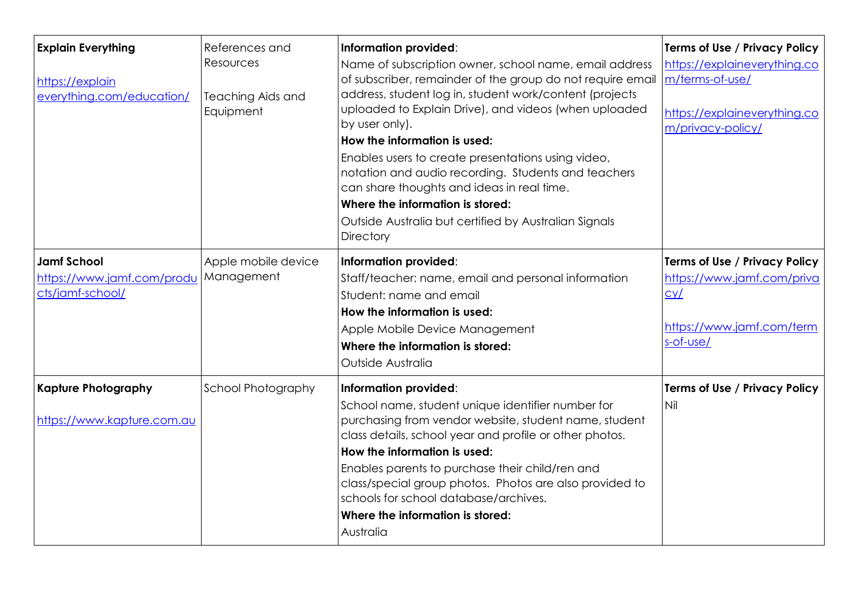| <b>Explain Everything</b><br>https://explain<br>everything.com/education/ | References and<br>Resources<br><b>Teaching Aids and</b><br>Equipment | Information provided:<br>Name of subscription owner, school name, email address<br>of subscriber, remainder of the group do not require email<br>address, student log in, student work/content (projects<br>uploaded to Explain Drive), and videos (when uploaded<br>by user only).<br>How the information is used:<br>Enables users to create presentations using video,<br>notation and audio recording. Students and teachers<br>can share thoughts and ideas in real time.<br>Where the information is stored:<br>Outside Australia but certified by Australian Signals<br><b>Directory</b> | Terms of Use / Privacy Policy<br>https://explaineverything.co<br>m/terms-of-use/<br>https://explaineverything.co<br>m/privacy-policy/ |
|---------------------------------------------------------------------------|----------------------------------------------------------------------|-------------------------------------------------------------------------------------------------------------------------------------------------------------------------------------------------------------------------------------------------------------------------------------------------------------------------------------------------------------------------------------------------------------------------------------------------------------------------------------------------------------------------------------------------------------------------------------------------|---------------------------------------------------------------------------------------------------------------------------------------|
| <b>Jamf School</b><br>https://www.jamf.com/produ<br>cts/jamf-school/      | Apple mobile device<br>Management                                    | Information provided:<br>Staff/teacher: name, email and personal information<br>Student: name and email<br>How the information is used:<br>Apple Mobile Device Management<br>Where the information is stored:<br>Outside Australia                                                                                                                                                                                                                                                                                                                                                              | Terms of Use / Privacy Policy<br>https://www.jamf.com/priva<br>cy/<br>https://www.jamf.com/term<br>s-of-use/                          |
| <b>Kapture Photography</b><br>https://www.kapture.com.au                  | <b>School Photography</b>                                            | Information provided:<br>School name, student unique identifier number for<br>purchasing from vendor website, student name, student<br>class details, school year and profile or other photos.<br>How the information is used:<br>Enables parents to purchase their child/ren and<br>class/special group photos. Photos are also provided to<br>schools for school database/archives.<br>Where the information is stored:<br>Australia                                                                                                                                                          | Terms of Use / Privacy Policy<br>Nil                                                                                                  |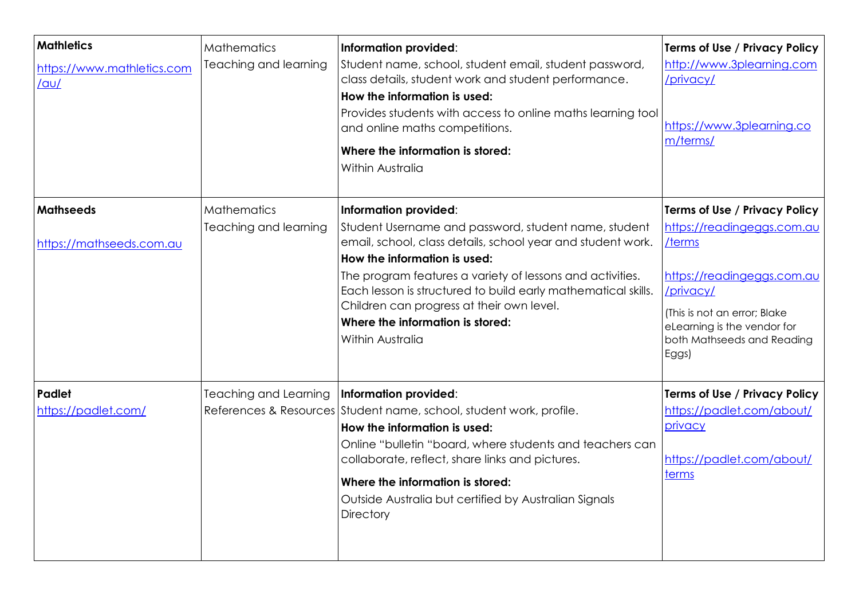| <b>Mathletics</b><br>https://www.mathletics.com<br>$/$ au $/$ | <b>Mathematics</b><br>Teaching and learning | Information provided:<br>Student name, school, student email, student password,<br>class details, student work and student performance.<br>How the information is used:<br>Provides students with access to online maths learning tool<br>and online maths competitions.<br>Where the information is stored:<br>Within Australia                                                                                | <b>Terms of Use / Privacy Policy</b><br>http://www.3plearning.com<br>/privacy/<br>https://www.3plearning.co<br>m/terms/                                                                                                       |
|---------------------------------------------------------------|---------------------------------------------|-----------------------------------------------------------------------------------------------------------------------------------------------------------------------------------------------------------------------------------------------------------------------------------------------------------------------------------------------------------------------------------------------------------------|-------------------------------------------------------------------------------------------------------------------------------------------------------------------------------------------------------------------------------|
| <b>Mathseeds</b><br>https://mathseeds.com.au                  | <b>Mathematics</b><br>Teaching and learning | Information provided:<br>Student Username and password, student name, student<br>email, school, class details, school year and student work.<br>How the information is used:<br>The program features a variety of lessons and activities.<br>Each lesson is structured to build early mathematical skills.<br>Children can progress at their own level.<br>Where the information is stored:<br>Within Australia | <b>Terms of Use / Privacy Policy</b><br>https://readingeggs.com.au<br>/terms<br>https://readingeggs.com.au<br>/privacy/<br>(This is not an error; Blake<br>eLearning is the vendor for<br>both Mathseeds and Reading<br>Eggs) |
| Padlet<br>https://padlet.com/                                 | <b>Teaching and Learning</b>                | Information provided:<br>References & Resources Student name, school, student work, profile.<br>How the information is used:<br>Online "bulletin "board, where students and teachers can<br>collaborate, reflect, share links and pictures.<br>Where the information is stored:<br>Outside Australia but certified by Australian Signals<br><b>Directory</b>                                                    | Terms of Use / Privacy Policy<br>https://padlet.com/about/<br>privacy<br>https://padlet.com/about/<br>terms                                                                                                                   |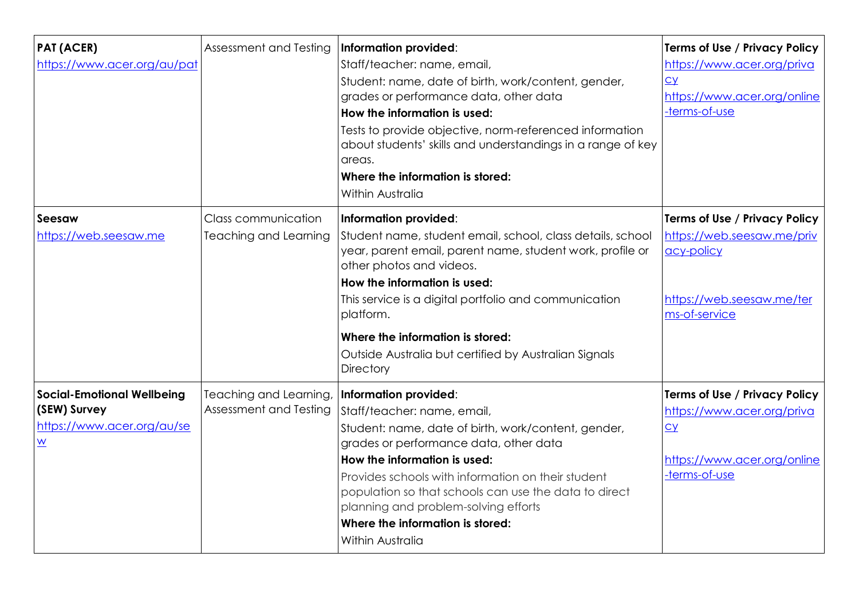| <b>PAT (ACER)</b><br>https://www.acer.org/au/pat                                                   | Assessment and Testing                              | Information provided:<br>Staff/teacher: name, email,<br>Student: name, date of birth, work/content, gender,<br>grades or performance data, other data<br>How the information is used:<br>Tests to provide objective, norm-referenced information<br>about students' skills and understandings in a range of key<br>areas.<br>Where the information is stored:<br>Within Australia                    | Terms of Use / Privacy Policy<br>https://www.acer.org/priva<br>CY<br>https://www.acer.org/online<br>-terms-of-use       |
|----------------------------------------------------------------------------------------------------|-----------------------------------------------------|------------------------------------------------------------------------------------------------------------------------------------------------------------------------------------------------------------------------------------------------------------------------------------------------------------------------------------------------------------------------------------------------------|-------------------------------------------------------------------------------------------------------------------------|
| Seesaw<br>https://web.seesaw.me                                                                    | Class communication<br><b>Teaching and Learning</b> | Information provided:<br>Student name, student email, school, class details, school<br>year, parent email, parent name, student work, profile or<br>other photos and videos.<br>How the information is used:<br>This service is a digital portfolio and communication<br>platform.<br>Where the information is stored:<br>Outside Australia but certified by Australian Signals<br><b>Directory</b>  | Terms of Use / Privacy Policy<br>https://web.seesaw.me/priv<br>acy-policy<br>https://web.seesaw.me/ter<br>ms-of-service |
| <b>Social-Emotional Wellbeing</b><br>(SEW) Survey<br>https://www.acer.org/au/se<br>$\underline{W}$ | Teaching and Learning,<br>Assessment and Testing    | Information provided:<br>Staff/teacher: name, email,<br>Student: name, date of birth, work/content, gender,<br>grades or performance data, other data<br>How the information is used:<br>Provides schools with information on their student<br>population so that schools can use the data to direct<br>planning and problem-solving efforts<br>Where the information is stored:<br>Within Australia | Terms of Use / Privacy Policy<br>https://www.acer.org/priva<br>$cy$<br>https://www.acer.org/online<br>-terms-of-use     |